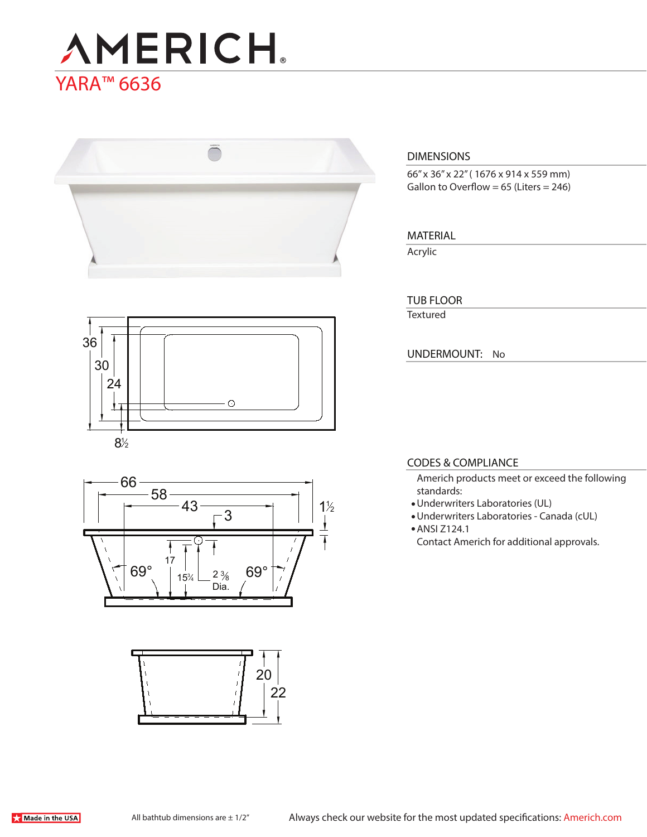# **AMERICH** YARA<sup>™</sup> 6636



# **DIMENSIONS**

66" x 36" x 22" ( 1676 x 914 x 559 mm) Gallon to Overflow =  $65$  (Liters = 246)

## **MATERIAL**

Acrylic

Textured **TUB FLOOR**

**UNDERMOUNT:** No

## **CODES & COMPLIANCE**

Americh products meet or exceed the following standards:

- Underwriters Laboratories (UL)
- Underwriters Laboratories Canada (cUL)
- ANSI Z124.1

Contact Americh for additional approvals.